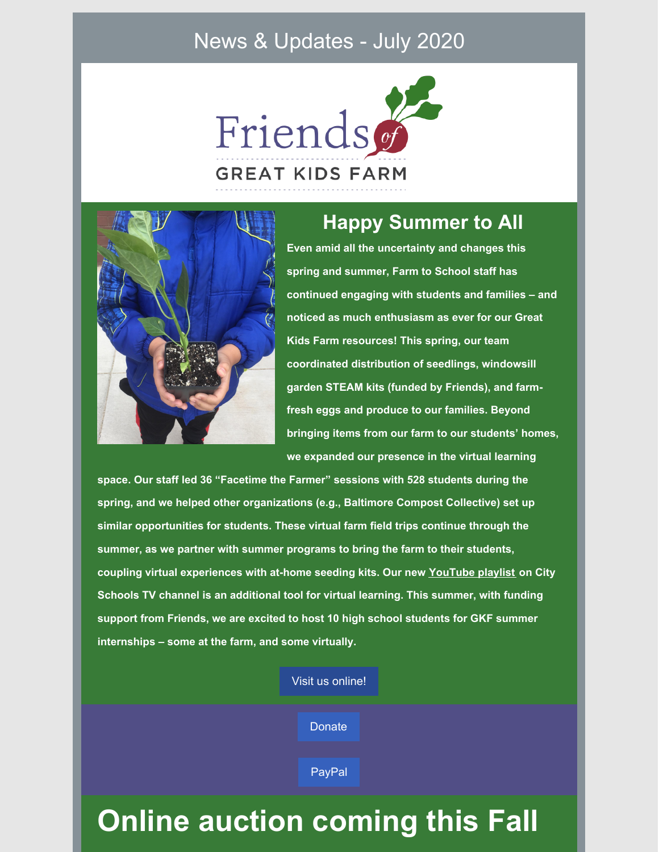### News & Updates - July 2020





### **Happy Summer to All**

**Even amid all the uncertainty and changes this spring and summer, Farm to School staff has continued engaging with students and families – and noticed as much enthusiasm as ever for our Great Kids Farm resources! This spring, our team coordinated distribution of seedlings, windowsill garden STEAM kits (funded by Friends), and farmfresh eggs and produce to our families. Beyond bringing items from our farm to our students' homes, we expanded our presence in the virtual learning**

**space. Our staff led 36 "Facetime the Farmer" sessions with 528 students during the spring, and we helped other organizations (e.g., Baltimore Compost Collective) set up similar opportunities for students. These virtual farm field trips continue through the summer, as we partner with summer programs to bring the farm to their students, coupling virtual experiences with at-home seeding kits. Our new [YouTube](https://www.youtube.com/playlist?list=PLGo5Ib5Rlyd4N8IXS2Y4kmDhUE9AIaJ3W) playlist on City Schools TV channel is an additional tool for virtual learning. This summer, with funding support from Friends, we are excited to host 10 high school students for GKF summer internships – some at the farm, and some virtually.**

Visit us [online!](http://www.friendsgkf.org)

**[Donate](https://app.etapestry.com/onlineforms/FriendsofGreatKidsFarm/onlinegiving.html)** 

[PayPal](https://www.paypal.com/donate/?token=uswcBxU39GE9npd9Pty1jV2nV1OuY8VGy-CeXBvR1nfYgazl2RE3lqWOiTY55wU74mA2pW&country.x=US&locale.x=US)

## **Online auction coming this Fall**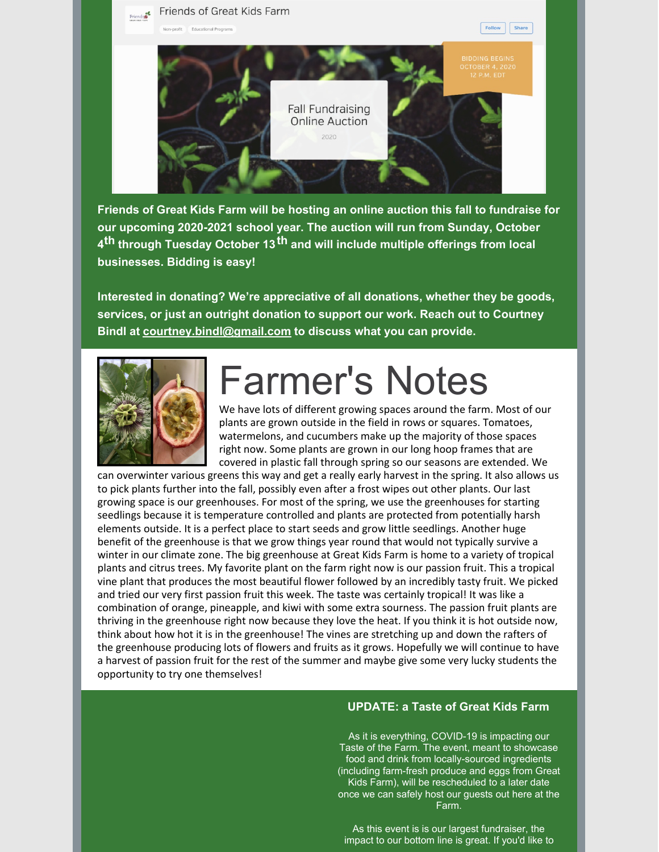

**Friends of Great Kids Farm will be hosting an online auction this fall to fundraise for our upcoming 2020-2021 school year. The auction will run from Sunday, October 4 th through Tuesday October 13 th and will include multiple offerings from local businesses. Bidding is easy!**

**Interested in donating? We're appreciative of all donations, whether they be goods, services, or just an outright donation to support our work. Reach out to Courtney Bindl at [courtney.bindl@gmail.com](mailto:courtney.bindl@gmail.com) to discuss what you can provide.**



## Farmer's Notes

We have lots of different growing spaces around the farm. Most of our plants are grown outside in the field in rows or squares. Tomatoes, watermelons, and cucumbers make up the majority of those spaces right now. Some plants are grown in our long hoop frames that are covered in plastic fall through spring so our seasons are extended. We

can overwinter various greens this way and get a really early harvest in the spring. It also allows us to pick plants further into the fall, possibly even after a frost wipes out other plants. Our last growing space is our greenhouses. For most of the spring, we use the greenhouses for starting seedlings because it is temperature controlled and plants are protected from potentially harsh elements outside. It is a perfect place to start seeds and grow little seedlings. Another huge benefit of the greenhouse is that we grow things year round that would not typically survive a winter in our climate zone. The big greenhouse at Great Kids Farm is home to a variety of tropical plants and citrus trees. My favorite plant on the farm right now is our passion fruit. This a tropical vine plant that produces the most beautiful flower followed by an incredibly tasty fruit. We picked and tried our very first passion fruit this week. The taste was certainly tropical! It was like a combination of orange, pineapple, and kiwi with some extra sourness. The passion fruit plants are thriving in the greenhouse right now because they love the heat. If you think it is hot outside now, think about how hot it is in the greenhouse! The vines are stretching up and down the rafters of the greenhouse producing lots of flowers and fruits as it grows. Hopefully we will continue to have a harvest of passion fruit for the rest of the summer and maybe give some very lucky students the opportunity to try one themselves!

#### **UPDATE: a Taste of Great Kids Farm**

As it is everything, COVID-19 is impacting our Taste of the Farm. The event, meant to showcase food and drink from locally-sourced ingredients (including farm-fresh produce and eggs from Great Kids Farm), will be rescheduled to a later date once we can safely host our guests out here at the Farm.

As this event is is our largest fundraiser, the impact to our bottom line is great. If you'd like to